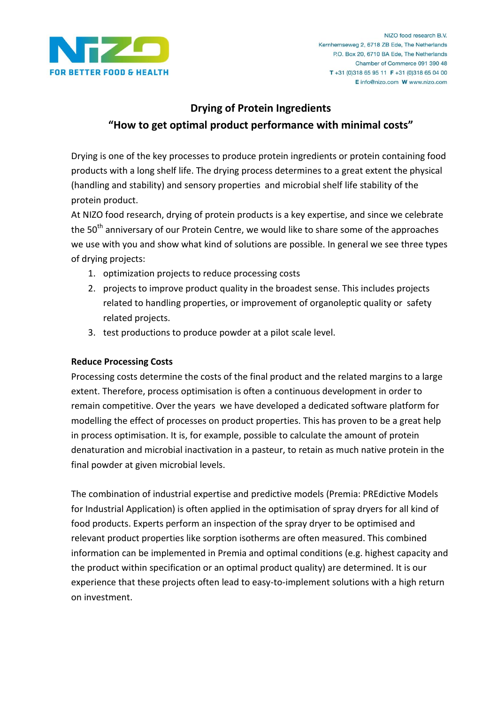

# **Drying of Protein Ingredients "How to get optimal product performance with minimal costs"**

Drying is one of the key processes to produce protein ingredients or protein containing food products with a long shelf life. The drying process determines to a great extent the physical (handling and stability) and sensory properties and microbial shelf life stability of the protein product.

At NIZO food research, drying of protein products is a key expertise, and since we celebrate the  $50<sup>th</sup>$  anniversary of our Protein Centre, we would like to share some of the approaches we use with you and show what kind of solutions are possible. In general we see three types of drying projects:

- 1. optimization projects to reduce processing costs
- 2. projects to improve product quality in the broadest sense. This includes projects related to handling properties, or improvement of organoleptic quality or safety related projects.
- 3. test productions to produce powder at a pilot scale level.

#### **Reduce Processing Costs**

Processing costs determine the costs of the final product and the related margins to a large extent. Therefore, process optimisation is often a continuous development in order to remain competitive. Over the years we have developed a dedicated software platform for modelling the effect of processes on product properties. This has proven to be a great help in process optimisation. It is, for example, possible to calculate the amount of protein denaturation and microbial inactivation in a pasteur, to retain as much native protein in the final powder at given microbial levels.

The combination of industrial expertise and predictive models (Premia: PREdictive Models for Industrial Application) is often applied in the optimisation of spray dryers for all kind of food products. Experts perform an inspection of the spray dryer to be optimised and relevant product properties like sorption isotherms are often measured. This combined information can be implemented in Premia and optimal conditions (e.g. highest capacity and the product within specification or an optimal product quality) are determined. It is our experience that these projects often lead to easy-to-implement solutions with a high return on investment.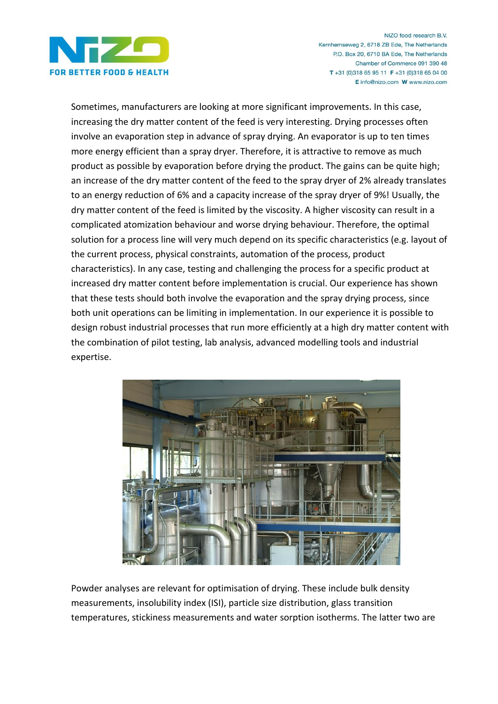

Sometimes, manufacturers are looking at more significant improvements. In this case, increasing the dry matter content of the feed is very interesting. Drying processes often involve an evaporation step in advance of spray drying. An evaporator is up to ten times more energy efficient than a spray dryer. Therefore, it is attractive to remove as much product as possible by evaporation before drying the product. The gains can be quite high; an increase of the dry matter content of the feed to the spray dryer of 2% already translates to an energy reduction of 6% and a capacity increase of the spray dryer of 9%! Usually, the dry matter content of the feed is limited by the viscosity. A higher viscosity can result in a complicated atomization behaviour and worse drying behaviour. Therefore, the optimal solution for a process line will very much depend on its specific characteristics (e.g. layout of the current process, physical constraints, automation of the process, product characteristics). In any case, testing and challenging the process for a specific product at increased dry matter content before implementation is crucial. Our experience has shown that these tests should both involve the evaporation and the spray drying process, since both unit operations can be limiting in implementation. In our experience it is possible to design robust industrial processes that run more efficiently at a high dry matter content with the combination of pilot testing, lab analysis, advanced modelling tools and industrial expertise.



Powder analyses are relevant for optimisation of drying. These include bulk density measurements, insolubility index (ISI), particle size distribution, glass transition temperatures, stickiness measurements and water sorption isotherms. The latter two are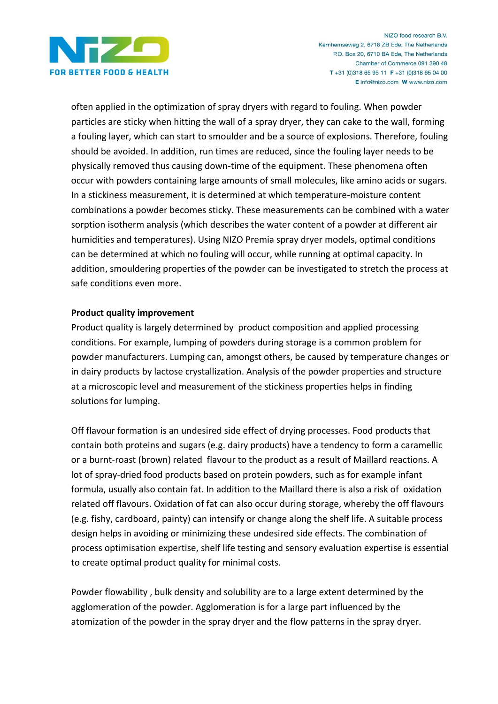

often applied in the optimization of spray dryers with regard to fouling. When powder particles are sticky when hitting the wall of a spray dryer, they can cake to the wall, forming a fouling layer, which can start to smoulder and be a source of explosions. Therefore, fouling should be avoided. In addition, run times are reduced, since the fouling layer needs to be physically removed thus causing down-time of the equipment. These phenomena often occur with powders containing large amounts of small molecules, like amino acids or sugars. In a stickiness measurement, it is determined at which temperature-moisture content combinations a powder becomes sticky. These measurements can be combined with a water sorption isotherm analysis (which describes the water content of a powder at different air humidities and temperatures). Using NIZO Premia spray dryer models, optimal conditions can be determined at which no fouling will occur, while running at optimal capacity. In addition, smouldering properties of the powder can be investigated to stretch the process at safe conditions even more.

## **Product quality improvement**

Product quality is largely determined by product composition and applied processing conditions. For example, lumping of powders during storage is a common problem for powder manufacturers. Lumping can, amongst others, be caused by temperature changes or in dairy products by lactose crystallization. Analysis of the powder properties and structure at a microscopic level and measurement of the stickiness properties helps in finding solutions for lumping.

Off flavour formation is an undesired side effect of drying processes. Food products that contain both proteins and sugars (e.g. dairy products) have a tendency to form a caramellic or a burnt-roast (brown) related flavour to the product as a result of Maillard reactions. A lot of spray-dried food products based on protein powders, such as for example infant formula, usually also contain fat. In addition to the Maillard there is also a risk of oxidation related off flavours. Oxidation of fat can also occur during storage, whereby the off flavours (e.g. fishy, cardboard, painty) can intensify or change along the shelf life. A suitable process design helps in avoiding or minimizing these undesired side effects. The combination of process optimisation expertise, shelf life testing and sensory evaluation expertise is essential to create optimal product quality for minimal costs.

Powder flowability , bulk density and solubility are to a large extent determined by the agglomeration of the powder. Agglomeration is for a large part influenced by the atomization of the powder in the spray dryer and the flow patterns in the spray dryer.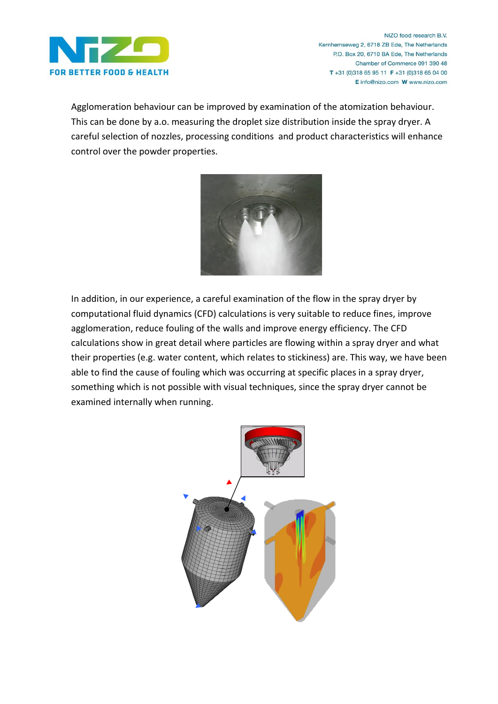

Agglomeration behaviour can be improved by examination of the atomization behaviour. This can be done by a.o. measuring the droplet size distribution inside the spray dryer. A careful selection of nozzles, processing conditions and product characteristics will enhance control over the powder properties.



In addition, in our experience, a careful examination of the flow in the spray dryer by computational fluid dynamics (CFD) calculations is very suitable to reduce fines, improve agglomeration, reduce fouling of the walls and improve energy efficiency. The CFD calculations show in great detail where particles are flowing within a spray dryer and what their properties (e.g. water content, which relates to stickiness) are. This way, we have been able to find the cause of fouling which was occurring at specific places in a spray dryer, something which is not possible with visual techniques, since the spray dryer cannot be examined internally when running.

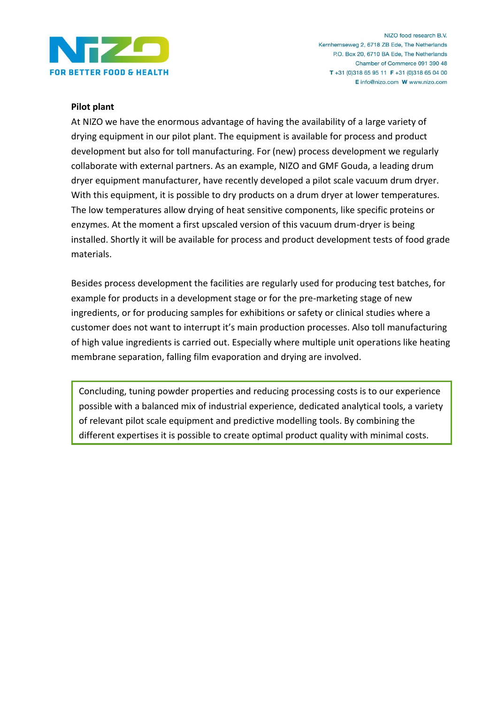

## **Pilot plant**

At NIZO we have the enormous advantage of having the availability of a large variety of drying equipment in our pilot plant. The equipment is available for process and product development but also for toll manufacturing. For (new) process development we regularly collaborate with external partners. As an example, NIZO and GMF Gouda, a leading drum dryer equipment manufacturer, have recently developed a pilot scale vacuum drum dryer. With this equipment, it is possible to dry products on a drum dryer at lower temperatures. The low temperatures allow drying of heat sensitive components, like specific proteins or enzymes. At the moment a first upscaled version of this vacuum drum-dryer is being installed. Shortly it will be available for process and product development tests of food grade materials.

Besides process development the facilities are regularly used for producing test batches, for example for products in a development stage or for the pre-marketing stage of new ingredients, or for producing samples for exhibitions or safety or clinical studies where a customer does not want to interrupt it's main production processes. Also toll manufacturing of high value ingredients is carried out. Especially where multiple unit operations like heating membrane separation, falling film evaporation and drying are involved.

Concluding, tuning powder properties and reducing processing costs is to our experience possible with a balanced mix of industrial experience, dedicated analytical tools, a variety of relevant pilot scale equipment and predictive modelling tools. By combining the different expertises it is possible to create optimal product quality with minimal costs.